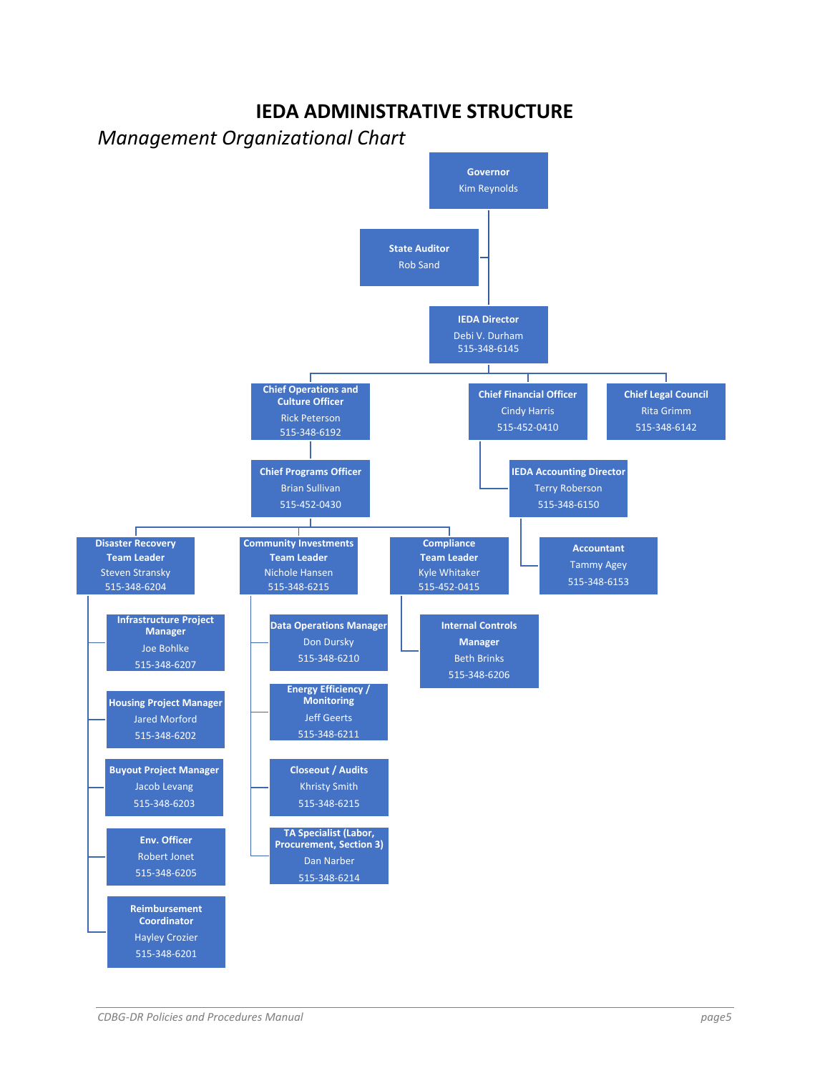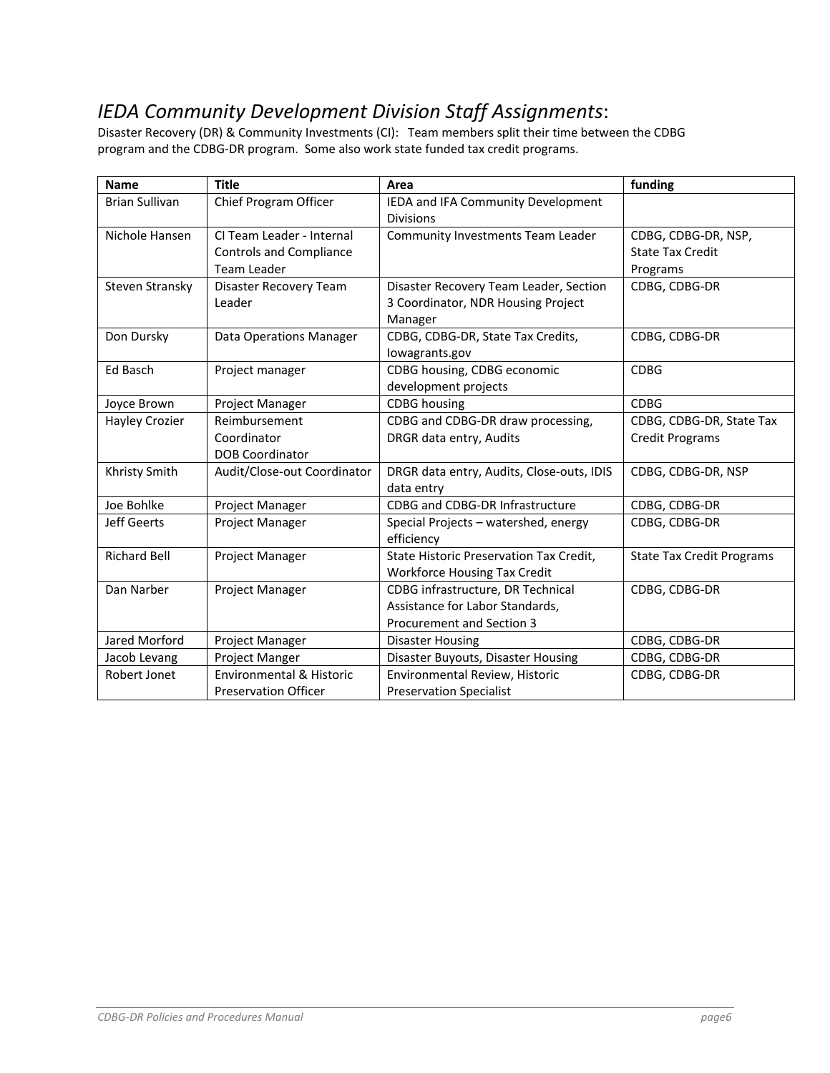## *IEDA Community Development Division Staff Assignments*:

Disaster Recovery (DR) & Community Investments (CI): Team members split their time between the CDBG program and the CDBG‐DR program. Some also work state funded tax credit programs.

| <b>Name</b>           | <b>Title</b>                                                               | Area                                                                                              | funding                                                    |
|-----------------------|----------------------------------------------------------------------------|---------------------------------------------------------------------------------------------------|------------------------------------------------------------|
| <b>Brian Sullivan</b> | Chief Program Officer                                                      | IEDA and IFA Community Development<br><b>Divisions</b>                                            |                                                            |
| Nichole Hansen        | CI Team Leader - Internal<br><b>Controls and Compliance</b><br>Team Leader | Community Investments Team Leader                                                                 | CDBG, CDBG-DR, NSP,<br><b>State Tax Credit</b><br>Programs |
| Steven Stransky       | Disaster Recovery Team<br>Leader                                           | Disaster Recovery Team Leader, Section<br>3 Coordinator, NDR Housing Project<br>Manager           | CDBG, CDBG-DR                                              |
| Don Dursky            | Data Operations Manager                                                    | CDBG, CDBG-DR, State Tax Credits,<br>lowagrants.gov                                               | CDBG, CDBG-DR                                              |
| Ed Basch              | Project manager                                                            | CDBG housing, CDBG economic<br>development projects                                               | <b>CDBG</b>                                                |
| Joyce Brown           | Project Manager                                                            | <b>CDBG</b> housing                                                                               | <b>CDBG</b>                                                |
| <b>Hayley Crozier</b> | Reimbursement<br>Coordinator<br><b>DOB Coordinator</b>                     | CDBG and CDBG-DR draw processing,<br>DRGR data entry, Audits                                      | CDBG, CDBG-DR, State Tax<br><b>Credit Programs</b>         |
| Khristy Smith         | Audit/Close-out Coordinator                                                | DRGR data entry, Audits, Close-outs, IDIS<br>data entry                                           | CDBG, CDBG-DR, NSP                                         |
| Joe Bohlke            | Project Manager                                                            | CDBG and CDBG-DR Infrastructure                                                                   | CDBG, CDBG-DR                                              |
| <b>Jeff Geerts</b>    | Project Manager                                                            | Special Projects - watershed, energy<br>efficiency                                                | CDBG, CDBG-DR                                              |
| <b>Richard Bell</b>   | Project Manager                                                            | State Historic Preservation Tax Credit,<br><b>Workforce Housing Tax Credit</b>                    | <b>State Tax Credit Programs</b>                           |
| Dan Narber            | Project Manager                                                            | CDBG infrastructure, DR Technical<br>Assistance for Labor Standards,<br>Procurement and Section 3 | CDBG, CDBG-DR                                              |
| Jared Morford         | Project Manager                                                            | <b>Disaster Housing</b>                                                                           | CDBG, CDBG-DR                                              |
| Jacob Levang          | Project Manger                                                             | Disaster Buyouts, Disaster Housing                                                                | CDBG, CDBG-DR                                              |
| Robert Jonet          | Environmental & Historic<br><b>Preservation Officer</b>                    | Environmental Review, Historic<br><b>Preservation Specialist</b>                                  | CDBG, CDBG-DR                                              |